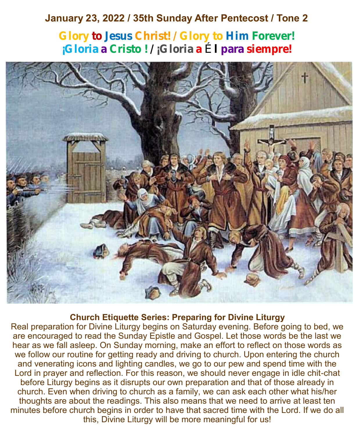# **January 23, 2022 / 35th Sunday After Pentecost / Tone 2**

**Glory to Jesus Christ! / Glory to Him Forever! ¡Gloria a Cristo ! / ¡Gloria a** É **l para siempre!**



### **Church Etiquette Series: Preparing for Divine Liturgy**

Real preparation for Divine Liturgy begins on Saturday evening. Before going to bed, we are encouraged to read the Sunday Epistle and Gospel. Let those words be the last we hear as we fall asleep. On Sunday morning, make an effort to reflect on those words as we follow our routine for getting ready and driving to church. Upon entering the church and venerating icons and lighting candles, we go to our pew and spend time with the Lord in prayer and reflection. For this reason, we should never engage in idle chit-chat before Liturgy begins as it disrupts our own preparation and that of those already in church. Even when driving to church as a family, we can ask each other what his/her thoughts are about the readings. This also means that we need to arrive at least ten minutes before church begins in order to have that sacred time with the Lord. If we do all this, Divine Liturgy will be more meaningful for us!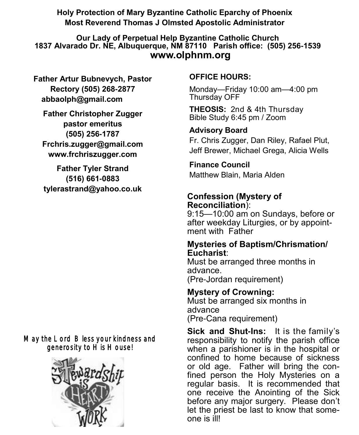**Holy Protection of Mary Byzantine Catholic Eparchy of Phoenix Most Reverend Thomas J Olmsted Apostolic Administrator** 

**Our Lady of Perpetual Help Byzantine Catholic Church 1837 Alvarado Dr. NE, Albuquerque, NM 87110 Parish office: (505) 256-1539 www.olphnm.org**

**Father Artur Bubnevych, Pastor Rectory (505) 268-2877 abbaolph@gmail.com** 

**Father Christopher Zugger pastor emeritus (505) 256-1787 Frchris.zugger@gmail.com www.frchriszugger.com** 

**Father Tyler Strand (516) 661-0883 tylerastrand@yahoo.co.uk**

# May the Lord Bless your kindness and generosity to His House!



# **OFFICE HOURS:**

Monday—Friday 10:00 am—4:00 pm Thursday OFF

**THEOSIS:** 2nd & 4th Thursday Bible Study 6:45 pm / Zoom

# **Advisory Board**

Fr. Chris Zugger, Dan Riley, Rafael Plut, Jeff Brewer, Michael Grega, Alicia Wells

# **Finance Council**

Matthew Blain, Maria Alden

# **Confession (Mystery of Reconciliation**):

9:15—10:00 am on Sundays, before or after weekday Liturgies, or by appointment with Father

#### **Mysteries of Baptism/Chrismation/ Eucharist**:

Must be arranged three months in advance. (Pre-Jordan requirement)

### **Mystery of Crowning:**  Must be arranged six months in advance

(Pre-Cana requirement)

**Sick and Shut-Ins:** It is the family's responsibility to notify the parish office when a parishioner is in the hospital or confined to home because of sickness or old age. Father will bring the confined person the Holy Mysteries on a regular basis. It is recommended that one receive the Anointing of the Sick before any major surgery. Please don't let the priest be last to know that someone is ill!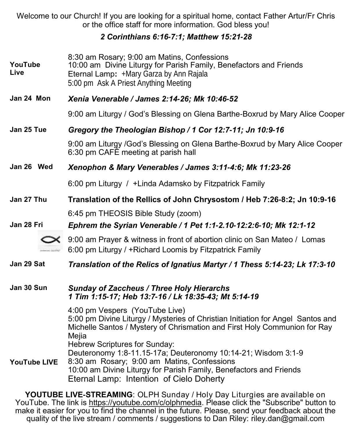Welcome to our Church! If you are looking for a spiritual home, contact Father Artur/Fr Chris or the office staff for more information. God bless you!

### *2 Corinthians 6:16-7:1; Matthew 15:21-28*

| YouTube<br>Live     | 8:30 am Rosary; 9:00 am Matins, Confessions<br>10:00 am Divine Liturgy for Parish Family, Benefactors and Friends<br>Eternal Lamp: +Mary Garza by Ann Rajala<br>5:00 pm Ask A Priest Anything Meeting                                                                                                                                                    |
|---------------------|----------------------------------------------------------------------------------------------------------------------------------------------------------------------------------------------------------------------------------------------------------------------------------------------------------------------------------------------------------|
| Jan 24 Mon          | Xenia Venerable / James 2:14-26; Mk 10:46-52                                                                                                                                                                                                                                                                                                             |
|                     | 9:00 am Liturgy / God's Blessing on Glena Barthe-Boxrud by Mary Alice Cooper                                                                                                                                                                                                                                                                             |
| Jan 25 Tue          | Gregory the Theologian Bishop / 1 Cor 12:7-11; Jn 10:9-16                                                                                                                                                                                                                                                                                                |
|                     | 9:00 am Liturgy /God's Blessing on Glena Barthe-Boxrud by Mary Alice Cooper<br>6:30 pm CAFÉ meeting at parish hall                                                                                                                                                                                                                                       |
| Jan 26 Wed          | Xenophon & Mary Venerables / James 3:11-4:6; Mk 11:23-26                                                                                                                                                                                                                                                                                                 |
|                     | 6:00 pm Liturgy / +Linda Adamsko by Fitzpatrick Family                                                                                                                                                                                                                                                                                                   |
| Jan 27 Thu          | Translation of the Rellics of John Chrysostom / Heb 7:26-8:2; Jn 10:9-16                                                                                                                                                                                                                                                                                 |
|                     | 6:45 pm THEOSIS Bible Study (zoom)                                                                                                                                                                                                                                                                                                                       |
| Jan 28 Fri          | Ephrem the Syrian Venerable / 1 Pet 1:1-2.10-12:2:6-10; Mk 12:1-12                                                                                                                                                                                                                                                                                       |
|                     | 9:00 am Prayer & witness in front of abortion clinic on San Mateo / Lomas<br>6:00 pm Liturgy / +Richard Loomis by Fitzpatrick Family                                                                                                                                                                                                                     |
| Jan 29 Sat          | Translation of the Relics of Ignatius Martyr / 1 Thess 5:14-23; Lk 17:3-10                                                                                                                                                                                                                                                                               |
| Jan 30 Sun          | <b>Sunday of Zaccheus / Three Holy Hierarchs</b><br>1 Tim 1:15-17; Heb 13:7-16 / Lk 18:35-43; Mt 5:14-19                                                                                                                                                                                                                                                 |
| <b>YouTube LIVE</b> | 4:00 pm Vespers (YouTube Live)<br>5:00 pm Divine Liturgy / Mysteries of Christian Initiation for Angel Santos and<br>Michelle Santos / Mystery of Chrismation and First Holy Communion for Ray<br>Mejia<br>Hebrew Scriptures for Sunday:<br>Deuteronomy 1:8-11.15-17a; Deuteronomy 10:14-21; Wisdom 3:1-9<br>8:30 am Rosary; 9:00 am Matins, Confessions |
|                     | 10:00 am Divine Liturgy for Parish Family, Benefactors and Friends<br>Eternal Lamp: Intention of Cielo Doherty                                                                                                                                                                                                                                           |
|                     |                                                                                                                                                                                                                                                                                                                                                          |

**YOUTUBE LIVE-STREAMING**: OLPH Sunday / Holy Day Liturgies are available on YouTube. The link is <u>https://youtube.com/c/olphmedia</u>. Please click the "Subscribe" button to make it easier for you to find the channel in the future. Please, send your feedback about the quality of the live stream / comments / suggestions to Dan Riley: [riley.dan@gmail.com](mailto:riley.dan@gmail.com)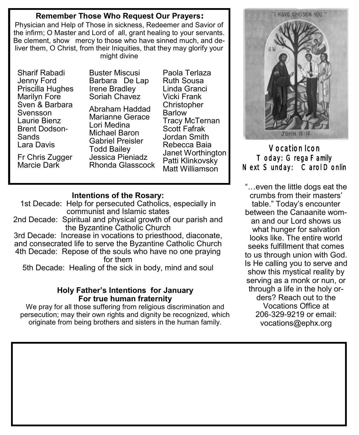#### **Remember Those Who Request Our Prayers:**

Physician and Help of Those in sickness, Redeemer and Savior of the infirm; O Master and Lord of all, grant healing to your servants. Be clement, show mercy to those who have sinned much, and deliver them, O Christ, from their Iniquities, that they may glorify your might divine

Sharif Rabadi Jenny Ford Priscilla Hughes Marilyn Fore Sven & Barbara Svensson Laurie Bienz Brent Dodson-Sands Lara Davis

Fr Chris Zugger Marcie Dark

Buster Miscusi Barbara De Lap Irene Bradley Soriah Chavez Abraham Haddad Marianne Gerace Lori Medina

Paola Terlaza Ruth Sousa Linda Granci Vicki Frank **Christopher** Barlow Tracy McTernan Scott Fafrak Jordan Smith Rebecca Baia Janet Worthington Patti Klinkovsky Matt Williamson

### **Intentions of the Rosary:**

Michael Baron Gabriel Preisler Todd Bailey Jessica Pieniadz Rhonda Glasscock

1st Decade: Help for persecuted Catholics, especially in communist and Islamic states 2nd Decade: Spiritual and physical growth of our parish and the Byzantine Catholic Church 3rd Decade: Increase in vocations to priesthood, diaconate, and consecrated life to serve the Byzantine Catholic Church

4th Decade: Repose of the souls who have no one praying for them

5th Decade: Healing of the sick in body, mind and soul

#### **Holy Father's Intentions for January For true human fraternity**

We pray for all those suffering from religious discrimination and persecution; may their own rights and dignity be recognized, which originate from being brothers and sisters in the human family.



Vocation Icon Today: Grega Family Next Sunday: Carol Donlin

"…even the little dogs eat the crumbs from their masters' table." Today's encounter between the Canaanite woman and our Lord shows us what hunger for salvation looks like. The entire world seeks fulfillment that comes to us through union with God. Is He calling you to serve and show this mystical reality by serving as a monk or nun, or through a life in the holy orders? Reach out to the Vocations Office at 206-329-9219 or email: [vocations@ephx.org](mailto:vocations@ephx.org%20)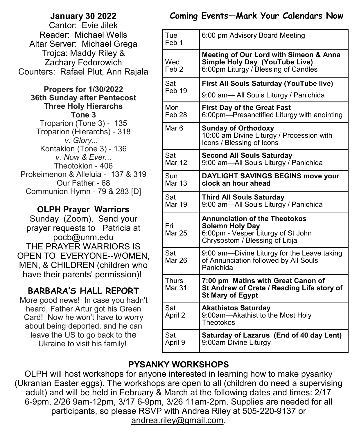### **January 30 2022**  Cantor: Evie Jilek Reader: Michael Wells Altar Server: Michael Grega Trojca: Maddy Riley & Zachary Fedorowich Counters: Rafael Plut, Ann Rajala

#### **Propers for 1/30/2022 36th Sunday after Pentecost Three Holy Hierarchs Tone 3** Troparion (Tone 3) - 135 Troparion (Hierarchs) - 318

*v. Glory...*  Kontakion (Tone 3) - 136 *v. Now & Ever...* Theotokion - 406 Prokeimenon & Alleluia - 137 & 319 Our Father - 68 Communion Hymn - 79 & 283 [D]

# **OLPH Prayer Warriors**

Sunday (Zoom). Send your prayer requests to Patricia at pocb@unm.edu THE PRAYER WARRIORS IS OPEN TO EVERYONE--WOMEN, MEN, & CHILDREN (children who have their parents' permission)!

# **BARBARA'S HALL REPORT**

More good news! In case you hadn't heard, Father Artur got his Green Card! Now he won't have to worry about being deported, and he can leave the US to go back to the Ukraine to visit his family!

# **Coming Events—Mark Your Calendars Now**

| Tue<br>Feb 1             | 6:00 pm Advisory Board Meeting                                                                                              |
|--------------------------|-----------------------------------------------------------------------------------------------------------------------------|
| Wed<br>Feb 2             | <b>Meeting of Our Lord with Simeon &amp; Anna</b><br>Simple Holy Day (YouTube Live)<br>6:00pm Liturgy / Blessing of Candles |
| Sat<br>Feb 19            | <b>First All Souls Saturday (YouTube live)</b>                                                                              |
|                          | 9:00 am- All Souls Liturgy / Panichida                                                                                      |
| Mon<br>Feb <sub>28</sub> | <b>First Day of the Great Fast</b><br>6:00pm-Presanctified Liturgy with anointing                                           |
| Mar 6                    | <b>Sunday of Orthodoxy</b><br>10:00 am Divine Liturgy / Procession with<br>Icons / Blessing of Icons                        |
| Sat<br>Mar 12            | <b>Second All Souls Saturday</b><br>9:00 am-All Souls Liturgy / Panichida                                                   |
| Sun<br>Mar 13            | <b>DAYLIGHT SAVINGS BEGINS move your</b><br>clock an hour ahead                                                             |
| Sat<br><b>Mar 19</b>     | <b>Third All Souls Saturday</b><br>9:00 am-All Souls Liturgy / Panichida                                                    |
| Fri                      | <b>Annunciation of the Theotokos</b>                                                                                        |
| Mar 25                   | <b>Solemn Holy Day</b><br>6:00pm - Vesper Liturgy of St John<br>Chrysostom / Blessing of Litija                             |
| Sat<br>Mar 26            | 9:00 am--Divine Liturgy for the Leave taking<br>of Annunciation followed by All Souls<br>Panichida                          |
| Thurs<br>Mar 31          | 7:00 pm Matins with Great Canon of<br>St Andrew of Crete / Reading Life story of<br><b>St Mary of Egypt</b>                 |
| Sat<br>April 2           | <b>Akathistos Saturday</b><br>9:00am-Akathist to the Most Holy<br>Theotokos                                                 |
| Sat<br>April 9           | Saturday of Lazarus (End of 40 day Lent)<br>9:00am Divine Liturgy                                                           |

# **PYSANKY WORKSHOPS**

OLPH will host workshops for anyone interested in learning how to make pysanky (Ukranian Easter eggs). The workshops are open to all (children do need a supervising adult) and will be held in February & March at the following dates and times: 2/17 6-9pm, 2/26 9am-12pm, 3/17 6-9pm, 3/26 11am-2pm. Supplies are needed for all participants, so please RSVP with Andrea Riley at 505-220-9137 or [andrea.riley@gmail.com.](mailto:andrea.riley@gmail.com)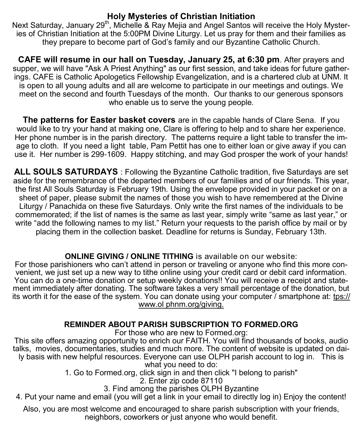# **Holy Mysteries of Christian Initiation**

Next Saturday, January 29<sup>th</sup>, Michelle & Ray Mejia and Angel Santos will receive the Holy Mysteries of Christian Initiation at the 5:00PM Divine Liturgy. Let us pray for them and their families as they prepare to become part of God's family and our Byzantine Catholic Church.

**CAFE will resume in our hall on Tuesday, January 25, at 6:30 pm**. After prayers and supper, we will have "Ask A Priest Anything" as our first session, and take ideas for future gatherings. CAFE is Catholic Apologetics Fellowship Evangelization, and is a chartered club at UNM. It is open to all young adults and all are welcome to participate in our meetings and outings. We meet on the second and fourth Tuesdays of the month. Our thanks to our generous sponsors who enable us to serve the young people.

**The patterns for Easter basket covers** are in the capable hands of Clare Sena. If you would like to try your hand at making one, Clare is offering to help and to share her experience. Her phone number is in the parish directory. The patterns require a light table to transfer the image to cloth. If you need a light table, Pam Pettit has one to either loan or give away if you can use it. Her number is 299-1609. Happy stitching, and may God prosper the work of your hands!

**ALL SOULS SATURDAYS** : Following the Byzantine Catholic tradition, five Saturdays are set aside for the remembrance of the departed members of our families and of our friends. This year, the first All Souls Saturday is February 19th. Using the envelope provided in your packet or on a sheet of paper, please submit the names of those you wish to have remembered at the Divine Liturgy / Panachida on these five Saturdays. Only write the first names of the individuals to be commemorated; if the list of names is the same as last year, simply write "same as last year," or write "add the following names to my list." Return your requests to the parish office by mail or by placing them in the collection basket. Deadline for returns is Sunday, February 13th.

# **ONLINE GIVING / ONLINE TITHING** is available on our website:

For those parishioners who can't attend in person or traveling or anyone who find this more convenient, we just set up a new way to tithe online using your credit card or debit card information. You can do a one-time donation or setup weekly donations!! You will receive a receipt and statement immediately after donating. The software takes a very small percentage of the donation, but its worth it for the ease of the system. You can donate using your computer / smartphone at: [tps://](https://www.olphnm.org/giving) [www.ol phnm.org/giving.](https://www.olphnm.org/giving) 

# **REMINDER ABOUT PARISH SUBSCRIPTION TO FORMED.ORG**

For those who are new to Formed.org:

This site offers amazing opportunity to enrich our FAITH. You will find thousands of books, audio talks, movies, documentaries, studies and much more. The content of website is updated on daily basis with new helpful resources. Everyone can use OLPH parish account to log in. This is what you need to do:

1. Go to Formed.org, click sign in and then click "I belong to parish"

2. Enter zip code 87110

3. Find among the parishes OLPH Byzantine

4. Put your name and email (you will get a link in your email to directly log in) Enjoy the content!

Also, you are most welcome and encouraged to share parish subscription with your friends, neighbors, coworkers or just anyone who would benefit.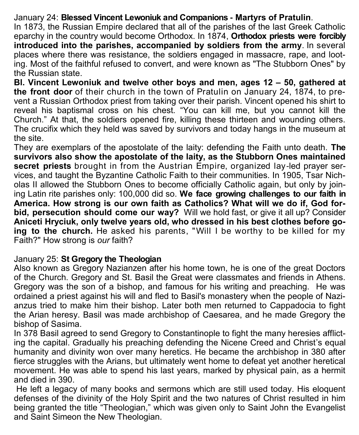# January 24: **Blessed Vincent Lewoniuk and Companions - Martyrs of Pratulin**.

In 1873, the Russian Empire declared that all of the parishes of the last Greek Catholic eparchy in the country would become Orthodox. In 1874, **Orthodox priests were forcibly introduced into the parishes, accompanied by soldiers from the army**. In several places where there was resistance, the soldiers engaged in massacre, rape, and looting. Most of the faithful refused to convert, and were known as "The Stubborn Ones" by the Russian state.

**Bl. Vincent Lewoniuk and twelve other boys and men, ages 12 – 50, gathered at the front door** of their church in the town of Pratulin on January 24, 1874, to prevent a Russian Orthodox priest from taking over their parish. Vincent opened his shirt to reveal his baptismal cross on his chest. "You can kill me, but you cannot kill the Church." At that, the soldiers opened fire, killing these thirteen and wounding others. The crucifix which they held was saved by survivors and today hangs in the museum at the site.

They are exemplars of the apostolate of the laity: defending the Faith unto death. **The survivors also show the apostolate of the laity, as the Stubborn Ones maintained secret priests** brought in from the Austrian Empire, organized lay-led prayer services, and taught the Byzantine Catholic Faith to their communities. In 1905, Tsar Nicholas II allowed the Stubborn Ones to become officially Catholic again, but only by joining Latin rite parishes only: 100,000 did so. **We face growing challenges to our faith in America. How strong is our own faith as Catholics? What will we do if, God forbid, persecution should come our way?** Will we hold fast, or give it all up? Consider **Aniceti Hryciuk, only twelve years old, who dressed in his best clothes before going to the church.** He asked his parents, "Will I be worthy to be killed for my Faith?" How strong is *our* faith?

# January 25: **St Gregory the Theologian**

Also known as Gregory Nazianzen after his home town, he is one of the great Doctors of the Church. Gregory and St. Basil the Great were classmates and friends in Athens. Gregory was the son of a bishop, and famous for his writing and preaching. He was ordained a priest against his will and fled to Basil's monastery when the people of Nazianzus tried to make him their bishop. Later both men returned to Cappadocia to fight the Arian heresy. Basil was made archbishop of Caesarea, and he made Gregory the bishop of Sasima.

In 378 Basil agreed to send Gregory to Constantinople to fight the many heresies afflicting the capital. Gradually his preaching defending the Nicene Creed and Christ's equal humanity and divinity won over many heretics. He became the archbishop in 380 after fierce struggles with the Arians, but ultimately went home to defeat yet another heretical movement. He was able to spend his last years, marked by physical pain, as a hermit and died in 390.

He left a legacy of many books and sermons which are still used today. His eloquent defenses of the divinity of the Holy Spirit and the two natures of Christ resulted in him being granted the title "Theologian," which was given only to Saint John the Evangelist and Saint Simeon the New Theologian.